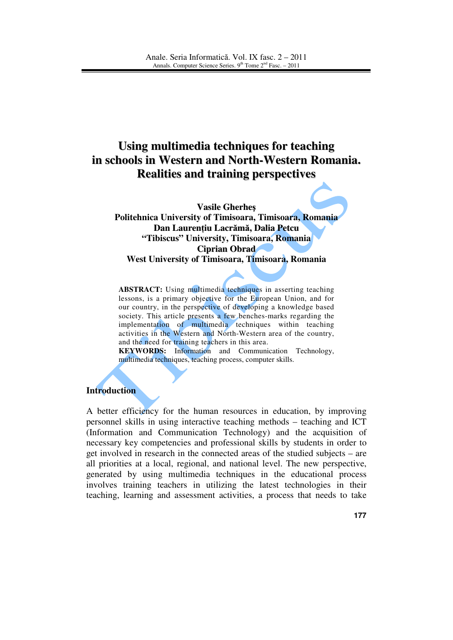# **Using multimedia techniques for teaching in schools in Western and North-Western Romania. Realities and training perspectives**

**Vasile Gherhe**ş **Politehnica University of Timisoara, Timisoara, Romania Dan Lauren**ţ**iu Lacr**ă**m**ă**, Dalia Petcu "Tibiscus" University, Timisoara, Romania Ciprian Obrad West University of Timisoara, Timisoara, Romania** 

**ABSTRACT:** Using multimedia techniques in asserting teaching lessons, is a primary objective for the European Union, and for our country, in the perspective of developing a knowledge based society. This article presents a few benches-marks regarding the implementation of multimedia techniques within teaching activities in the Western and North-Western area of the country, and the need for training teachers in this area.

**KEYWORDS:** Information and Communication Technology, multimedia techniques, teaching process, computer skills.

#### **Introduction**

A better efficiency for the human resources in education, by improving personnel skills in using interactive teaching methods – teaching and ICT (Information and Communication Technology) and the acquisition of necessary key competencies and professional skills by students in order to get involved in research in the connected areas of the studied subjects – are all priorities at a local, regional, and national level. The new perspective, generated by using multimedia techniques in the educational process involves training teachers in utilizing the latest technologies in their teaching, learning and assessment activities, a process that needs to take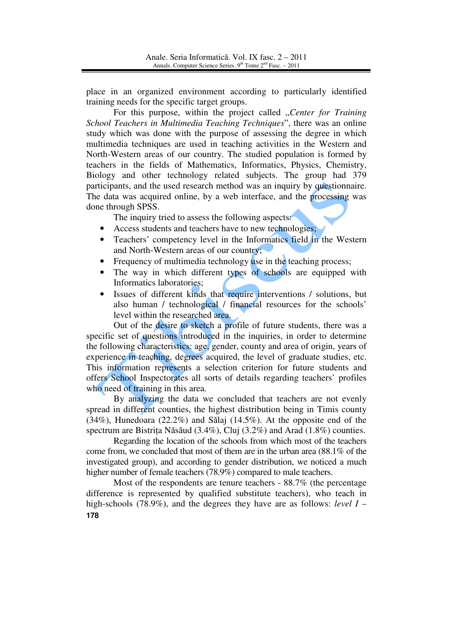place in an organized environment according to particularly identified training needs for the specific target groups.

For this purpose, within the project called *"Center for Training School Teachers in Multimedia Teaching Techniques*", there was an online study which was done with the purpose of assessing the degree in which multimedia techniques are used in teaching activities in the Western and North-Western areas of our country. The studied population is formed by teachers in the fields of Mathematics, Informatics, Physics, Chemistry, Biology and other technology related subjects. The group had 379 participants, and the used research method was an inquiry by questionnaire. The data was acquired online, by a web interface, and the processing was done through SPSS.

The inquiry tried to assess the following aspects:

- Access students and teachers have to new technologies;
- Teachers' competency level in the Informatics field in the Western and North-Western areas of our country;
- Frequency of multimedia technology use in the teaching process;
- The way in which different types of schools are equipped with Informatics laboratories;
- Issues of different kinds that require interventions / solutions, but also human / technological / financial resources for the schools' level within the researched area.

Out of the desire to sketch a profile of future students, there was a specific set of questions introduced in the inquiries, in order to determine the following characteristics: age, gender, county and area of origin, years of experience in teaching, degrees acquired, the level of graduate studies, etc. This information represents a selection criterion for future students and offers School Inspectorates all sorts of details regarding teachers' profiles who need of training in this area.

 By analyzing the data we concluded that teachers are not evenly spread in different counties, the highest distribution being in Timis county (34%), Hunedoara (22.2%) and Sălaj (14.5%). At the opposite end of the spectrum are Bistrita Năsăud (3.4%), Cluj (3.2%) and Arad (1.8%) counties.

 Regarding the location of the schools from which most of the teachers come from, we concluded that most of them are in the urban area (88.1% of the investigated group), and according to gender distribution, we noticed a much higher number of female teachers (78.9%) compared to male teachers.

**178** Most of the respondents are tenure teachers - 88.7% (the percentage difference is represented by qualified substitute teachers), who teach in high-schools (78.9%), and the degrees they have are as follows: *level I* –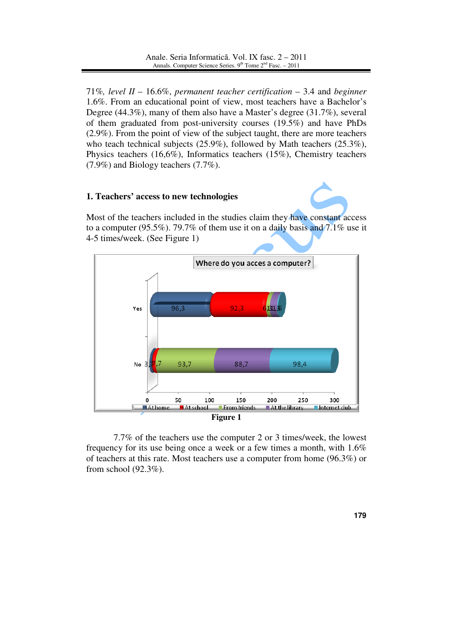71*%, level II* – 16.6%, *permanent teacher certification* – 3.4 and *beginner* 1.6%. From an educational point of view, most teachers have a Bachelor's Degree (44.3%), many of them also have a Master's degree (31.7%), several of them graduated from post-university courses (19.5%) and have PhDs (2.9%). From the point of view of the subject taught, there are more teachers who teach technical subjects (25.9%), followed by Math teachers (25.3%), Physics teachers (16,6%), Informatics teachers (15%), Chemistry teachers (7.9%) and Biology teachers (7.7%).

### **1. Teachers' access to new technologies**

Most of the teachers included in the studies claim they have constant access to a computer (95.5%). 79.7% of them use it on a daily basis and 7.1% use it 4-5 times/week. (See Figure 1)



7.7% of the teachers use the computer 2 or 3 times/week, the lowest frequency for its use being once a week or a few times a month, with 1.6% of teachers at this rate. Most teachers use a computer from home (96.3%) or from school (92.3%).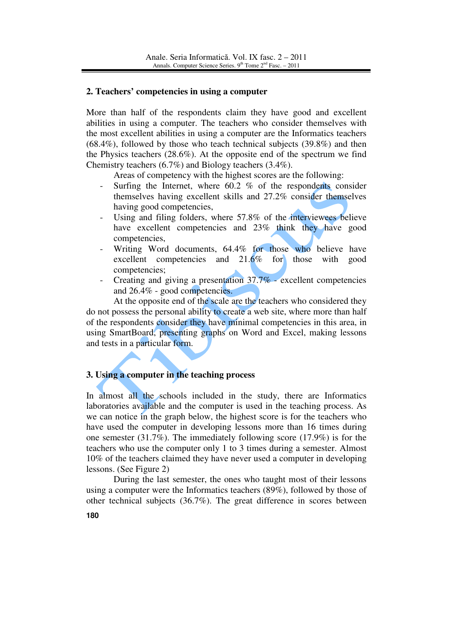#### **2. Teachers' competencies in using a computer**

More than half of the respondents claim they have good and excellent abilities in using a computer. The teachers who consider themselves with the most excellent abilities in using a computer are the Informatics teachers (68.4%), followed by those who teach technical subjects (39.8%) and then the Physics teachers (28.6%). At the opposite end of the spectrum we find Chemistry teachers (6.7%) and Biology teachers (3.4%).

Areas of competency with the highest scores are the following:

- Surfing the Internet, where 60.2 % of the respondents consider themselves having excellent skills and 27.2% consider themselves having good competencies,
- Using and filing folders, where 57.8% of the interviewees believe have excellent competencies and 23% think they have good competencies,
- Writing Word documents, 64.4% for those who believe have excellent competencies and 21.6% for those with good competencies;
- Creating and giving a presentation 37.7% excellent competencies and 26.4% - good competencies.

At the opposite end of the scale are the teachers who considered they do not possess the personal ability to create a web site, where more than half of the respondents consider they have minimal competencies in this area, in using SmartBoard, presenting graphs on Word and Excel, making lessons and tests in a particular form.

### **3. Using a computer in the teaching process**

In almost all the schools included in the study, there are Informatics laboratories available and the computer is used in the teaching process. As we can notice in the graph below, the highest score is for the teachers who have used the computer in developing lessons more than 16 times during one semester (31.7%). The immediately following score (17.9%) is for the teachers who use the computer only 1 to 3 times during a semester. Almost 10% of the teachers claimed they have never used a computer in developing lessons. (See Figure 2)

 During the last semester, the ones who taught most of their lessons using a computer were the Informatics teachers (89%), followed by those of other technical subjects (36.7%). The great difference in scores between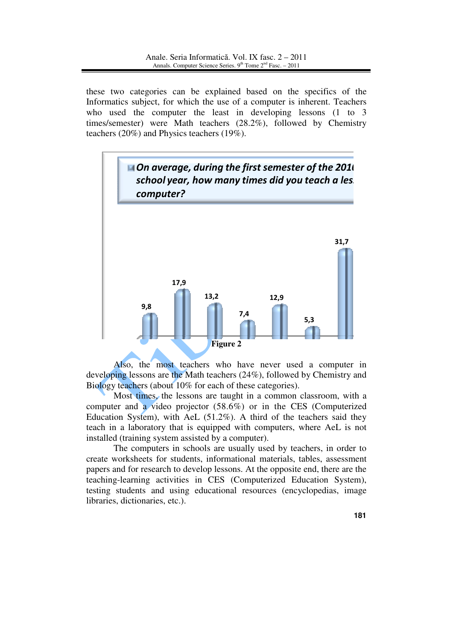these two categories can be explained based on the specifics of the Informatics subject, for which the use of a computer is inherent. Teachers who used the computer the least in developing lessons (1 to 3 times/semester) were Math teachers (28.2%), followed by Chemistry teachers (20%) and Physics teachers (19%).



 Also, the most teachers who have never used a computer in developing lessons are the Math teachers (24%), followed by Chemistry and Biology teachers (about 10% for each of these categories).

 Most times, the lessons are taught in a common classroom, with a computer and a video projector (58.6%) or in the CES (Computerized Education System), with AeL (51.2%). A third of the teachers said they teach in a laboratory that is equipped with computers, where AeL is not installed (training system assisted by a computer).

 The computers in schools are usually used by teachers, in order to create worksheets for students, informational materials, tables, assessment papers and for research to develop lessons. At the opposite end, there are the teaching-learning activities in CES (Computerized Education System), testing students and using educational resources (encyclopedias, image libraries, dictionaries, etc.).